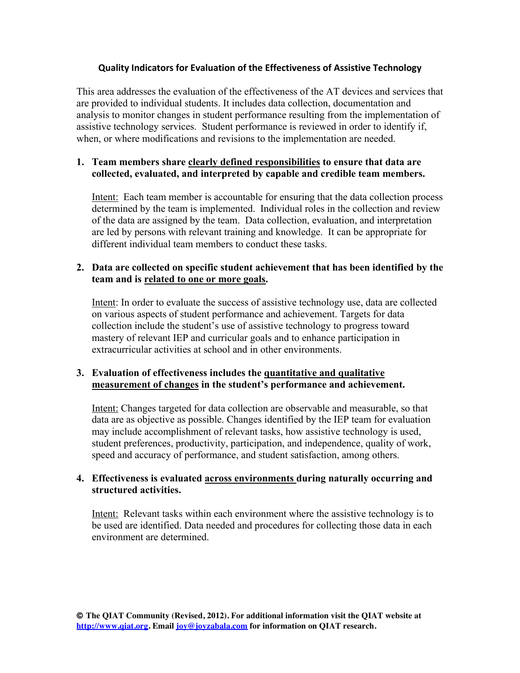### **Quality Indicators for Evaluation of the Effectiveness of Assistive Technology**

This area addresses the evaluation of the effectiveness of the AT devices and services that are provided to individual students. It includes data collection, documentation and analysis to monitor changes in student performance resulting from the implementation of assistive technology services. Student performance is reviewed in order to identify if, when, or where modifications and revisions to the implementation are needed.

### **1. Team members share clearly defined responsibilities to ensure that data are collected, evaluated, and interpreted by capable and credible team members.**

Intent: Each team member is accountable for ensuring that the data collection process determined by the team is implemented. Individual roles in the collection and review of the data are assigned by the team. Data collection, evaluation, and interpretation are led by persons with relevant training and knowledge. It can be appropriate for different individual team members to conduct these tasks.

#### **2. Data are collected on specific student achievement that has been identified by the team and is related to one or more goals.**

Intent: In order to evaluate the success of assistive technology use, data are collected on various aspects of student performance and achievement. Targets for data collection include the student's use of assistive technology to progress toward mastery of relevant IEP and curricular goals and to enhance participation in extracurricular activities at school and in other environments.

## **3. Evaluation of effectiveness includes the quantitative and qualitative measurement of changes in the student's performance and achievement.**

Intent: Changes targeted for data collection are observable and measurable, so that data are as objective as possible. Changes identified by the IEP team for evaluation may include accomplishment of relevant tasks, how assistive technology is used, student preferences, productivity, participation, and independence, quality of work, speed and accuracy of performance, and student satisfaction, among others.

### **4. Effectiveness is evaluated across environments during naturally occurring and structured activities.**

Intent: Relevant tasks within each environment where the assistive technology is to be used are identified. Data needed and procedures for collecting those data in each environment are determined.